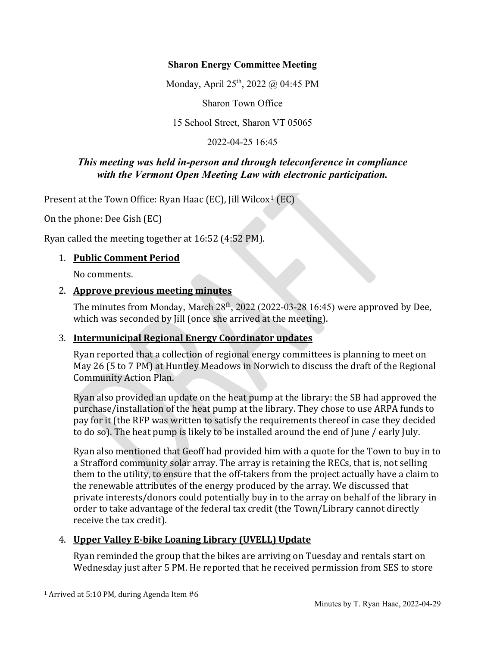#### **Sharon Energy Committee Meeting**

Monday, April 25<sup>th</sup>, 2022 @ 04:45 PM

Sharon Town Office

15 School Street, Sharon VT 05065

2022-04-25 16:45

## *This meeting was held in-person and through teleconference in compliance with the Vermont Open Meeting Law with electronic participation.*

Present at the Town Office: Ryan Haac (EC), Jill Wilcox<sup>[1](#page-0-0)</sup> (EC)

On the phone: Dee Gish (EC)

Ryan called the meeting together at 16:52 (4:52 PM).

### 1. **Public Comment Period**

No comments.

#### 2. **Approve previous meeting minutes**

The minutes from Monday, March  $28<sup>th</sup>$ , 2022 (2022-03-28 16:45) were approved by Dee, which was seconded by Jill (once she arrived at the meeting).

### 3. **Intermunicipal Regional Energy Coordinator updates**

Ryan reported that a collection of regional energy committees is planning to meet on May 26 (5 to 7 PM) at Huntley Meadows in Norwich to discuss the draft of the Regional Community Action Plan.

Ryan also provided an update on the heat pump at the library: the SB had approved the purchase/installation of the heat pump at the library. They chose to use ARPA funds to pay for it (the RFP was written to satisfy the requirements thereof in case they decided to do so). The heat pump is likely to be installed around the end of June / early July.

Ryan also mentioned that Geoff had provided him with a quote for the Town to buy in to a Strafford community solar array. The array is retaining the RECs, that is, not selling them to the utility, to ensure that the off-takers from the project actually have a claim to the renewable attributes of the energy produced by the array. We discussed that private interests/donors could potentially buy in to the array on behalf of the library in order to take advantage of the federal tax credit (the Town/Library cannot directly receive the tax credit).

### 4. **Upper Valley E-bike Loaning Library (UVELL) Update**

Ryan reminded the group that the bikes are arriving on Tuesday and rentals start on Wednesday just after 5 PM. He reported that he received permission from SES to store

<span id="page-0-0"></span><sup>1</sup> Arrived at 5:10 PM, during Agenda Item #6